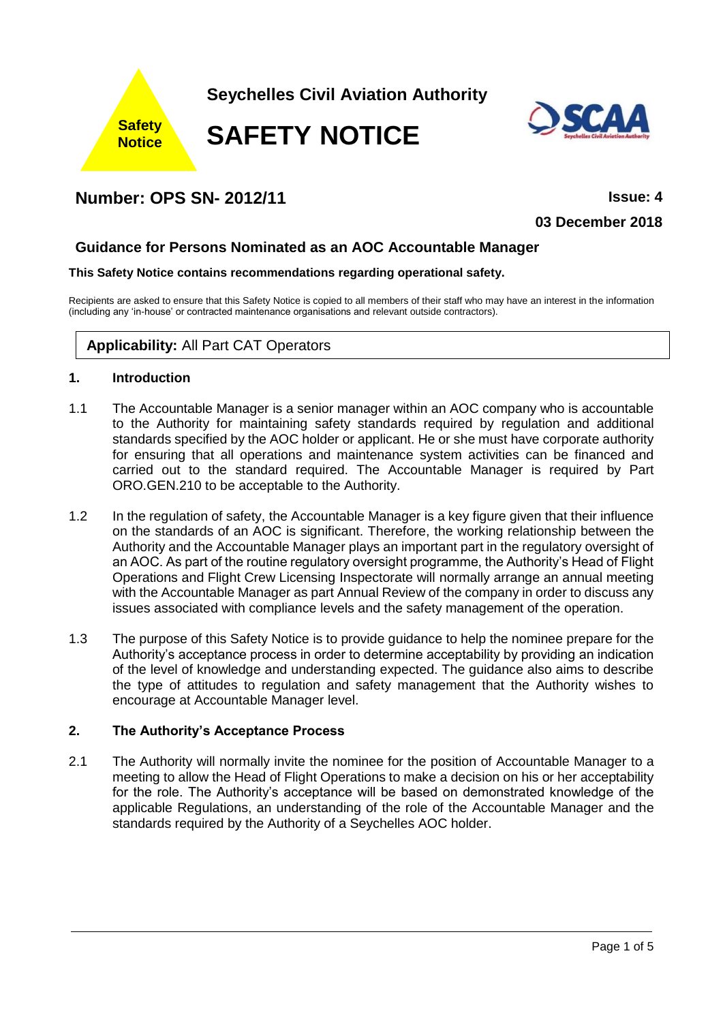

# **Number: OPS SN- 2012/11 Issue: 4**

**03 December 2018**

# **Guidance for Persons Nominated as an AOC Accountable Manager**

#### **This Safety Notice contains recommendations regarding operational safety.**

Recipients are asked to ensure that this Safety Notice is copied to all members of their staff who may have an interest in the information (including any 'in-house' or contracted maintenance organisations and relevant outside contractors).

# **Applicability:** All Part CAT Operators

#### **1. Introduction**

- 1.1 The Accountable Manager is a senior manager within an AOC company who is accountable to the Authority for maintaining safety standards required by regulation and additional standards specified by the AOC holder or applicant. He or she must have corporate authority for ensuring that all operations and maintenance system activities can be financed and carried out to the standard required. The Accountable Manager is required by Part ORO.GEN.210 to be acceptable to the Authority.
- 1.2 In the regulation of safety, the Accountable Manager is a key figure given that their influence on the standards of an AOC is significant. Therefore, the working relationship between the Authority and the Accountable Manager plays an important part in the regulatory oversight of an AOC. As part of the routine regulatory oversight programme, the Authority's Head of Flight Operations and Flight Crew Licensing Inspectorate will normally arrange an annual meeting with the Accountable Manager as part Annual Review of the company in order to discuss any issues associated with compliance levels and the safety management of the operation.
- 1.3 The purpose of this Safety Notice is to provide guidance to help the nominee prepare for the Authority's acceptance process in order to determine acceptability by providing an indication of the level of knowledge and understanding expected. The guidance also aims to describe the type of attitudes to regulation and safety management that the Authority wishes to encourage at Accountable Manager level.

#### **2. The Authority's Acceptance Process**

2.1 The Authority will normally invite the nominee for the position of Accountable Manager to a meeting to allow the Head of Flight Operations to make a decision on his or her acceptability for the role. The Authority's acceptance will be based on demonstrated knowledge of the applicable Regulations, an understanding of the role of the Accountable Manager and the standards required by the Authority of a Seychelles AOC holder.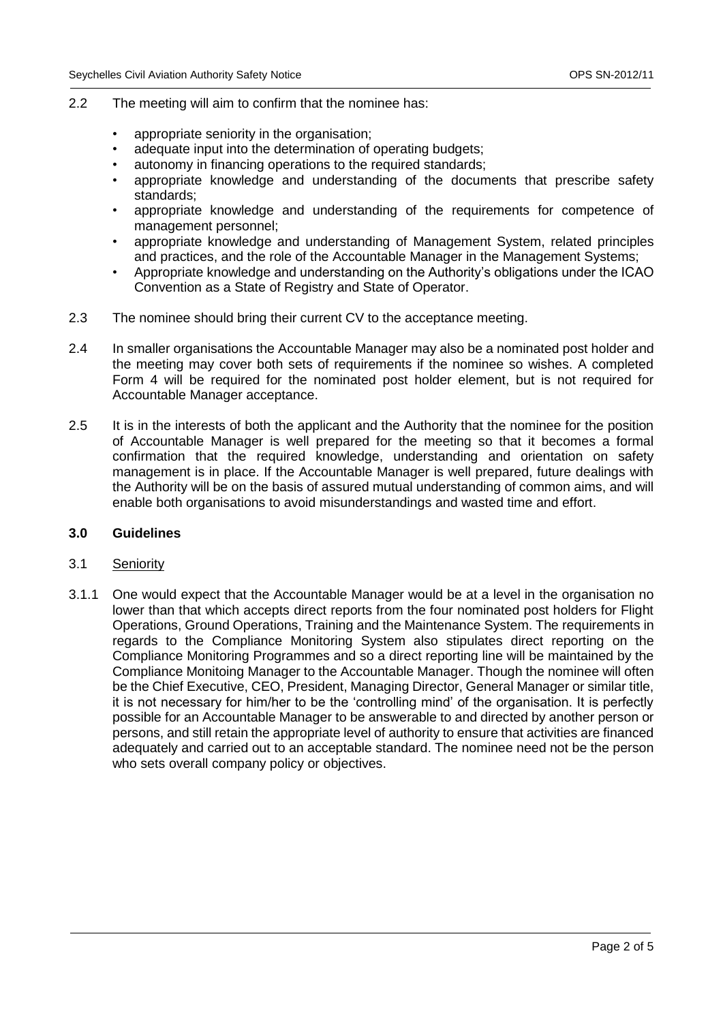- 2.2 The meeting will aim to confirm that the nominee has:
	- appropriate seniority in the organisation;
	- adequate input into the determination of operating budgets;
	- autonomy in financing operations to the required standards;
	- appropriate knowledge and understanding of the documents that prescribe safety standards;
	- appropriate knowledge and understanding of the requirements for competence of management personnel;
	- appropriate knowledge and understanding of Management System, related principles and practices, and the role of the Accountable Manager in the Management Systems;
	- Appropriate knowledge and understanding on the Authority's obligations under the ICAO Convention as a State of Registry and State of Operator.
- 2.3 The nominee should bring their current CV to the acceptance meeting.
- 2.4 In smaller organisations the Accountable Manager may also be a nominated post holder and the meeting may cover both sets of requirements if the nominee so wishes. A completed Form 4 will be required for the nominated post holder element, but is not required for Accountable Manager acceptance.
- 2.5 It is in the interests of both the applicant and the Authority that the nominee for the position of Accountable Manager is well prepared for the meeting so that it becomes a formal confirmation that the required knowledge, understanding and orientation on safety management is in place. If the Accountable Manager is well prepared, future dealings with the Authority will be on the basis of assured mutual understanding of common aims, and will enable both organisations to avoid misunderstandings and wasted time and effort.

## **3.0 Guidelines**

# 3.1 Seniority

3.1.1 One would expect that the Accountable Manager would be at a level in the organisation no lower than that which accepts direct reports from the four nominated post holders for Flight Operations, Ground Operations, Training and the Maintenance System. The requirements in regards to the Compliance Monitoring System also stipulates direct reporting on the Compliance Monitoring Programmes and so a direct reporting line will be maintained by the Compliance Monitoing Manager to the Accountable Manager. Though the nominee will often be the Chief Executive, CEO, President, Managing Director, General Manager or similar title, it is not necessary for him/her to be the 'controlling mind' of the organisation. It is perfectly possible for an Accountable Manager to be answerable to and directed by another person or persons, and still retain the appropriate level of authority to ensure that activities are financed adequately and carried out to an acceptable standard. The nominee need not be the person who sets overall company policy or objectives.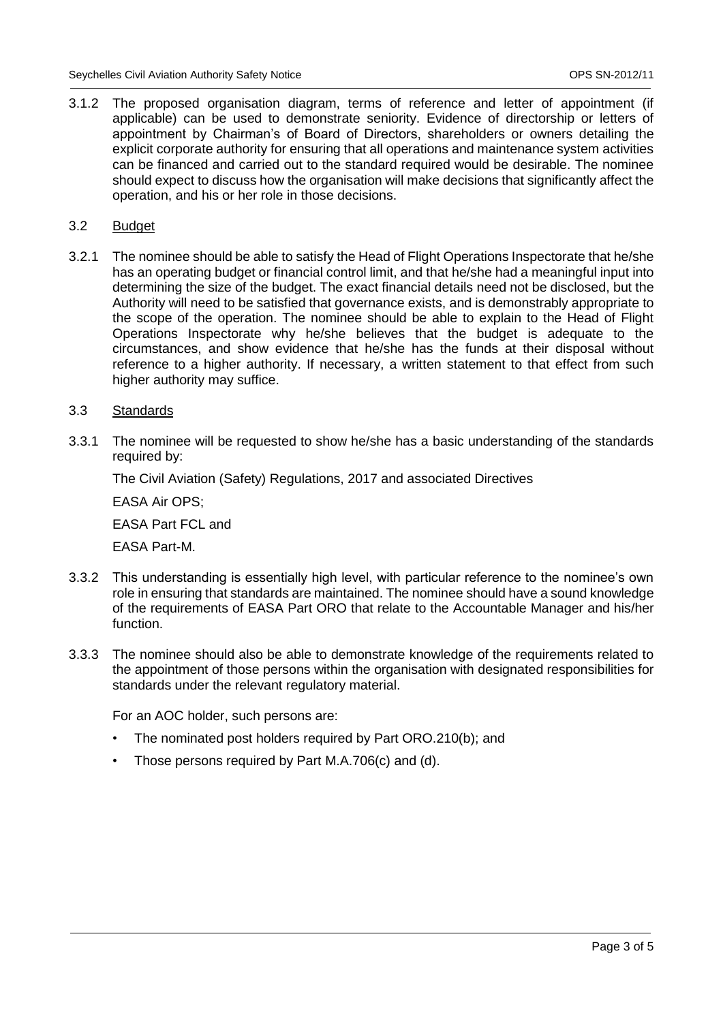3.1.2 The proposed organisation diagram, terms of reference and letter of appointment (if applicable) can be used to demonstrate seniority. Evidence of directorship or letters of appointment by Chairman's of Board of Directors, shareholders or owners detailing the explicit corporate authority for ensuring that all operations and maintenance system activities can be financed and carried out to the standard required would be desirable. The nominee should expect to discuss how the organisation will make decisions that significantly affect the operation, and his or her role in those decisions.

#### 3.2 Budget

3.2.1 The nominee should be able to satisfy the Head of Flight Operations Inspectorate that he/she has an operating budget or financial control limit, and that he/she had a meaningful input into determining the size of the budget. The exact financial details need not be disclosed, but the Authority will need to be satisfied that governance exists, and is demonstrably appropriate to the scope of the operation. The nominee should be able to explain to the Head of Flight Operations Inspectorate why he/she believes that the budget is adequate to the circumstances, and show evidence that he/she has the funds at their disposal without reference to a higher authority. If necessary, a written statement to that effect from such higher authority may suffice.

## 3.3 Standards

3.3.1 The nominee will be requested to show he/she has a basic understanding of the standards required by:

The Civil Aviation (Safety) Regulations, 2017 and associated Directives

EASA Air OPS;

EASA Part FCL and

EASA Part-M.

- 3.3.2 This understanding is essentially high level, with particular reference to the nominee's own role in ensuring that standards are maintained. The nominee should have a sound knowledge of the requirements of EASA Part ORO that relate to the Accountable Manager and his/her function.
- 3.3.3 The nominee should also be able to demonstrate knowledge of the requirements related to the appointment of those persons within the organisation with designated responsibilities for standards under the relevant regulatory material.

For an AOC holder, such persons are:

- The nominated post holders required by Part ORO.210(b); and
- Those persons required by Part M.A.706(c) and (d).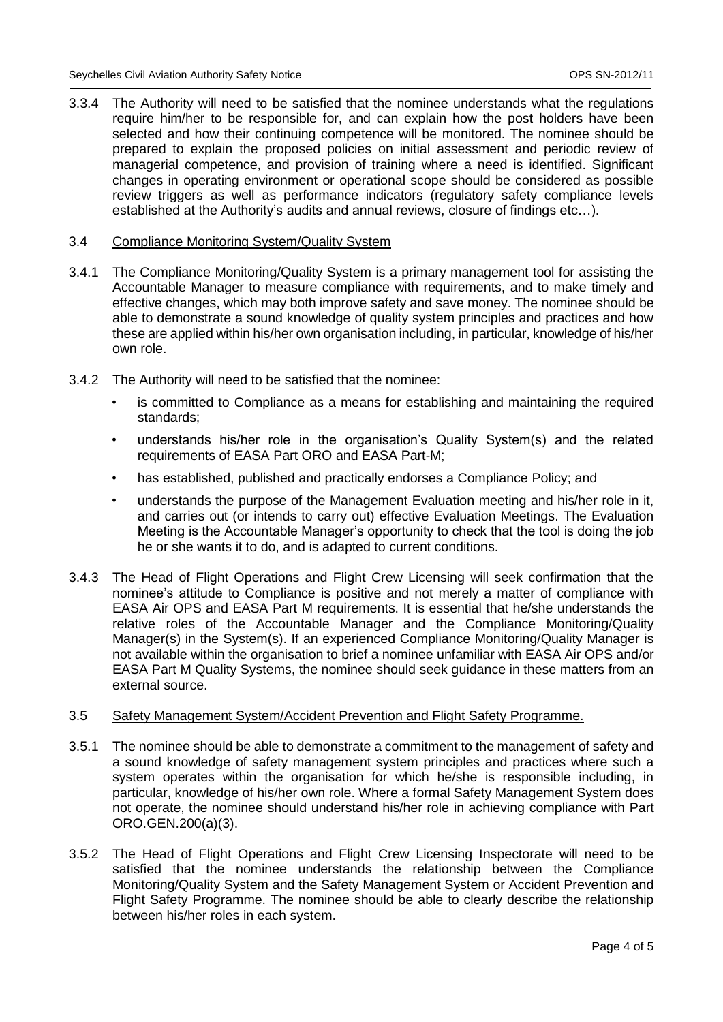3.3.4 The Authority will need to be satisfied that the nominee understands what the regulations require him/her to be responsible for, and can explain how the post holders have been selected and how their continuing competence will be monitored. The nominee should be prepared to explain the proposed policies on initial assessment and periodic review of managerial competence, and provision of training where a need is identified. Significant changes in operating environment or operational scope should be considered as possible review triggers as well as performance indicators (regulatory safety compliance levels established at the Authority's audits and annual reviews, closure of findings etc…).

#### 3.4 Compliance Monitoring System/Quality System

- 3.4.1 The Compliance Monitoring/Quality System is a primary management tool for assisting the Accountable Manager to measure compliance with requirements, and to make timely and effective changes, which may both improve safety and save money. The nominee should be able to demonstrate a sound knowledge of quality system principles and practices and how these are applied within his/her own organisation including, in particular, knowledge of his/her own role.
- 3.4.2 The Authority will need to be satisfied that the nominee:
	- is committed to Compliance as a means for establishing and maintaining the required standards;
	- understands his/her role in the organisation's Quality System(s) and the related requirements of EASA Part ORO and EASA Part-M;
	- has established, published and practically endorses a Compliance Policy; and
	- understands the purpose of the Management Evaluation meeting and his/her role in it. and carries out (or intends to carry out) effective Evaluation Meetings. The Evaluation Meeting is the Accountable Manager's opportunity to check that the tool is doing the job he or she wants it to do, and is adapted to current conditions.
- 3.4.3 The Head of Flight Operations and Flight Crew Licensing will seek confirmation that the nominee's attitude to Compliance is positive and not merely a matter of compliance with EASA Air OPS and EASA Part M requirements. It is essential that he/she understands the relative roles of the Accountable Manager and the Compliance Monitoring/Quality Manager(s) in the System(s). If an experienced Compliance Monitoring/Quality Manager is not available within the organisation to brief a nominee unfamiliar with EASA Air OPS and/or EASA Part M Quality Systems, the nominee should seek guidance in these matters from an external source.

#### 3.5 Safety Management System/Accident Prevention and Flight Safety Programme.

- 3.5.1 The nominee should be able to demonstrate a commitment to the management of safety and a sound knowledge of safety management system principles and practices where such a system operates within the organisation for which he/she is responsible including, in particular, knowledge of his/her own role. Where a formal Safety Management System does not operate, the nominee should understand his/her role in achieving compliance with Part ORO.GEN.200(a)(3).
- 3.5.2 The Head of Flight Operations and Flight Crew Licensing Inspectorate will need to be satisfied that the nominee understands the relationship between the Compliance Monitoring/Quality System and the Safety Management System or Accident Prevention and Flight Safety Programme. The nominee should be able to clearly describe the relationship between his/her roles in each system.